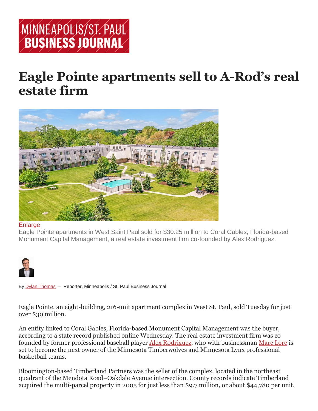

## **Eagle Pointe apartments sell to A-Rod's real estate firm**



## **[Enlarge](https://www.bizjournals.com/)**

Eagle Pointe apartments in West Saint Paul sold for \$30.25 million to Coral Gables, Florida-based Monument Capital Management, a real estate investment firm co-founded by Alex Rodriguez.



By Dylan [Thomas](https://www.bizjournals.com/twincities/bio/40694/Dylan+Thomas) – Reporter, Minneapolis / St. Paul Business Journal

Eagle Pointe, an eight-building, 216-unit apartment complex in West St. Paul, sold Tuesday for just over \$30 million.

An entity linked to Coral Gables, Florida-based Monument Capital Management was the buyer, according to a state record published online Wednesday. The real estate investment firm was cofounded by former professional baseball player [Alex Rodriguez,](https://www.bizjournals.com/twincities/search/results?q=Alex%20Rodriguez) who with businessman [Marc Lore](https://www.bizjournals.com/twincities/search/results?q=Marc%20Lore) is set to become the next owner of the Minnesota Timberwolves and Minnesota Lynx professional basketball teams.

Bloomington-based Timberland Partners was the seller of the complex, located in the northeast quadrant of the Mendota Road–Oakdale Avenue intersection. County records indicate Timberland acquired the multi-parcel property in 2005 for just less than \$9.7 million, or about \$44,780 per unit.